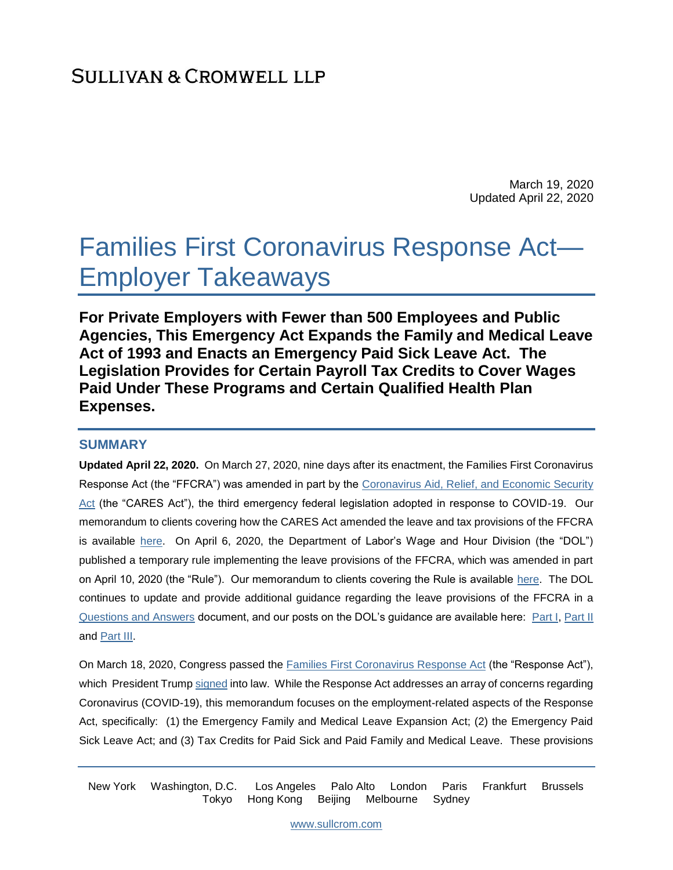March 19, 2020 Updated April 22, 2020

# Families First Coronavirus Response Act— Employer Takeaways

**For Private Employers with Fewer than 500 Employees and Public Agencies, This Emergency Act Expands the Family and Medical Leave Act of 1993 and Enacts an Emergency Paid Sick Leave Act. The Legislation Provides for Certain Payroll Tax Credits to Cover Wages Paid Under These Programs and Certain Qualified Health Plan Expenses.** 

#### **SUMMARY**

**Updated April 22, 2020.** On March 27, 2020, nine days after its enactment, the Families First Coronavirus Response Act (the "FFCRA") was amended in part by the [Coronavirus Aid, Relief, and Economic Security](https://www.congress.gov/116/bills/hr748/BILLS-116hr748enr.pdf)  [Act](https://www.congress.gov/116/bills/hr748/BILLS-116hr748enr.pdf) (the "CARES Act"), the third emergency federal legislation adopted in response to COVID-19. Our memorandum to clients covering how the CARES Act amended the leave and tax provisions of the FFCRA is available [here.](https://www.sullcrom.com/files/upload/SC-Publication-Coronavirus-Aid,-Relief,-and-Economic-Security-Act—Key-Employer-Takeaways.pdf) On April 6, 2020, the Department of Labor's Wage and Hour Division (the "DOL") published a temporary rule implementing the leave provisions of the FFCRA, which was amended in part on April 10, 2020 (the "Rule"). Our memorandum to clients covering the Rule is available [here.](https://www.sullcrom.com/files/upload/SC-Publication-U.S.-Department-of-Labor-Issues-Regulations-Implementing-the-Families-First-Coronavirus-Response-Act’s-Leave-Provisions.pdf) The DOL continues to update and provide additional guidance regarding the leave provisions of the FFCRA in a [Questions and Answers](https://www.dol.gov/agencies/whd/pandemic/ffcra-questions) document, and our posts on the DOL's guidance are available here: [Part I,](https://www.sullcrom.com/us-department-of-labors-wage-hours-division-employee-notice-leave-provisions-families-first-coronavirus-response-act) [Part II](https://www.sullcrom.com/blogs-us-department-of-labors-wage-and-hour-division-issues-additional-guidance) and [Part III.](https://www.sullcrom.com/us-department-of-labor-leave-provisions-families-first-coronavirus-response-act)

On March 18, 2020, Congress passed the **Families First Coronavirus Response Act** (the "Response Act"), which President Trum[p signed](https://www.whitehouse.gov/briefings-statements/bill-announcement-88/) into law. While the Response Act addresses an array of concerns regarding Coronavirus (COVID-19), this memorandum focuses on the employment-related aspects of the Response Act, specifically: (1) the Emergency Family and Medical Leave Expansion Act; (2) the Emergency Paid Sick Leave Act; and (3) Tax Credits for Paid Sick and Paid Family and Medical Leave. These provisions

New York Washington, D.C. Los Angeles Palo Alto London Paris Frankfurt Brussels Tokyo Hong Kong Beijing Melbourne Sydney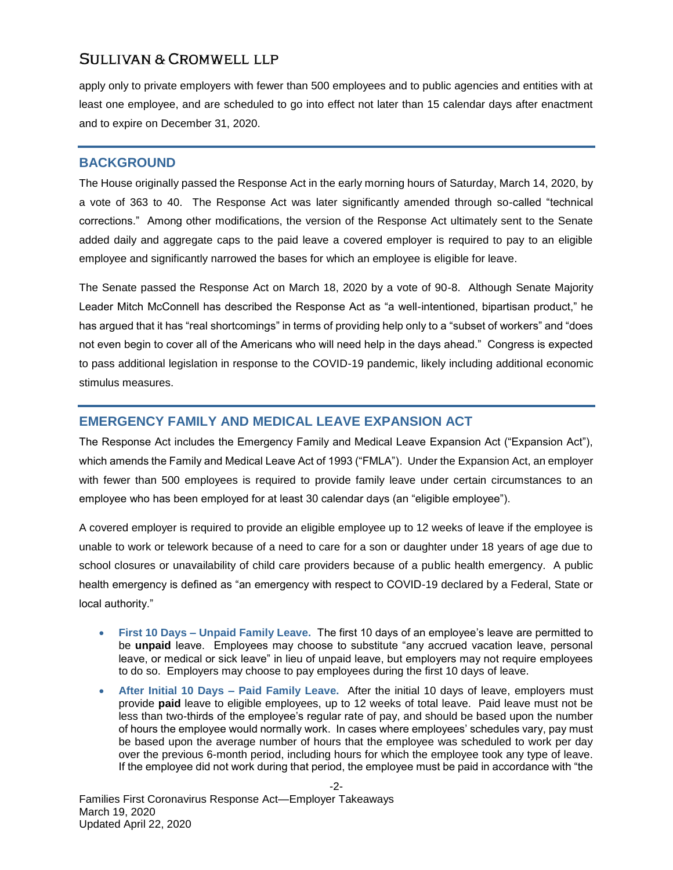apply only to private employers with fewer than 500 employees and to public agencies and entities with at least one employee, and are scheduled to go into effect not later than 15 calendar days after enactment and to expire on December 31, 2020.

#### **BACKGROUND**

The House originally passed the Response Act in the early morning hours of Saturday, March 14, 2020, by a vote of 363 to 40. The Response Act was later significantly amended through so-called "technical corrections." Among other modifications, the version of the Response Act ultimately sent to the Senate added daily and aggregate caps to the paid leave a covered employer is required to pay to an eligible employee and significantly narrowed the bases for which an employee is eligible for leave.

The Senate passed the Response Act on March 18, 2020 by a vote of 90-8. Although Senate Majority Leader Mitch McConnell has described the Response Act as "a well-intentioned, bipartisan product," he has argued that it has "real shortcomings" in terms of providing help only to a "subset of workers" and "does not even begin to cover all of the Americans who will need help in the days ahead." Congress is expected to pass additional legislation in response to the COVID-19 pandemic, likely including additional economic stimulus measures.

### **EMERGENCY FAMILY AND MEDICAL LEAVE EXPANSION ACT**

The Response Act includes the Emergency Family and Medical Leave Expansion Act ("Expansion Act"), which amends the Family and Medical Leave Act of 1993 ("FMLA"). Under the Expansion Act, an employer with fewer than 500 employees is required to provide family leave under certain circumstances to an employee who has been employed for at least 30 calendar days (an "eligible employee").

A covered employer is required to provide an eligible employee up to 12 weeks of leave if the employee is unable to work or telework because of a need to care for a son or daughter under 18 years of age due to school closures or unavailability of child care providers because of a public health emergency. A public health emergency is defined as "an emergency with respect to COVID-19 declared by a Federal, State or local authority."

- **First 10 Days – Unpaid Family Leave.** The first 10 days of an employee's leave are permitted to be **unpaid** leave. Employees may choose to substitute "any accrued vacation leave, personal leave, or medical or sick leave" in lieu of unpaid leave, but employers may not require employees to do so. Employers may choose to pay employees during the first 10 days of leave.
- **After Initial 10 Days – Paid Family Leave.** After the initial 10 days of leave, employers must provide **paid** leave to eligible employees, up to 12 weeks of total leave. Paid leave must not be less than two-thirds of the employee's regular rate of pay, and should be based upon the number of hours the employee would normally work. In cases where employees' schedules vary, pay must be based upon the average number of hours that the employee was scheduled to work per day over the previous 6-month period, including hours for which the employee took any type of leave. If the employee did not work during that period, the employee must be paid in accordance with "the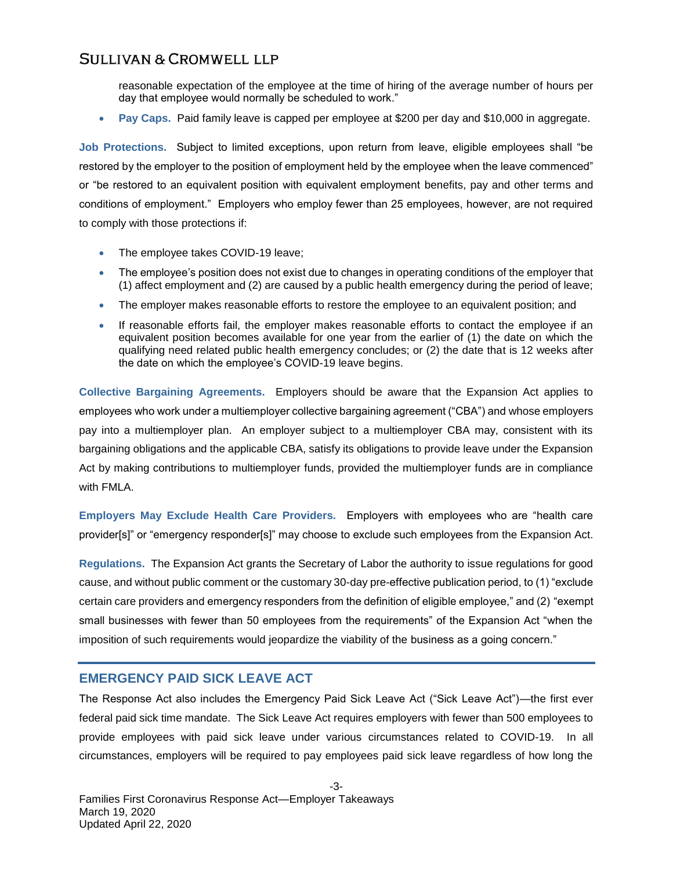reasonable expectation of the employee at the time of hiring of the average number of hours per day that employee would normally be scheduled to work."

**Pay Caps.** Paid family leave is capped per employee at \$200 per day and \$10,000 in aggregate.

**Job Protections.** Subject to limited exceptions, upon return from leave, eligible employees shall "be restored by the employer to the position of employment held by the employee when the leave commenced" or "be restored to an equivalent position with equivalent employment benefits, pay and other terms and conditions of employment." Employers who employ fewer than 25 employees, however, are not required to comply with those protections if:

- The employee takes COVID-19 leave;
- The employee's position does not exist due to changes in operating conditions of the employer that (1) affect employment and (2) are caused by a public health emergency during the period of leave;
- The employer makes reasonable efforts to restore the employee to an equivalent position; and
- If reasonable efforts fail, the employer makes reasonable efforts to contact the employee if an equivalent position becomes available for one year from the earlier of (1) the date on which the qualifying need related public health emergency concludes; or (2) the date that is 12 weeks after the date on which the employee's COVID-19 leave begins.

**Collective Bargaining Agreements.** Employers should be aware that the Expansion Act applies to employees who work under a multiemployer collective bargaining agreement ("CBA") and whose employers pay into a multiemployer plan. An employer subject to a multiemployer CBA may, consistent with its bargaining obligations and the applicable CBA, satisfy its obligations to provide leave under the Expansion Act by making contributions to multiemployer funds, provided the multiemployer funds are in compliance with FMLA.

**Employers May Exclude Health Care Providers.** Employers with employees who are "health care provider[s]" or "emergency responder[s]" may choose to exclude such employees from the Expansion Act.

**Regulations.** The Expansion Act grants the Secretary of Labor the authority to issue regulations for good cause, and without public comment or the customary 30-day pre-effective publication period, to (1) "exclude certain care providers and emergency responders from the definition of eligible employee," and (2) "exempt small businesses with fewer than 50 employees from the requirements" of the Expansion Act "when the imposition of such requirements would jeopardize the viability of the business as a going concern."

#### **EMERGENCY PAID SICK LEAVE ACT**

The Response Act also includes the Emergency Paid Sick Leave Act ("Sick Leave Act")—the first ever federal paid sick time mandate. The Sick Leave Act requires employers with fewer than 500 employees to provide employees with paid sick leave under various circumstances related to COVID-19. In all circumstances, employers will be required to pay employees paid sick leave regardless of how long the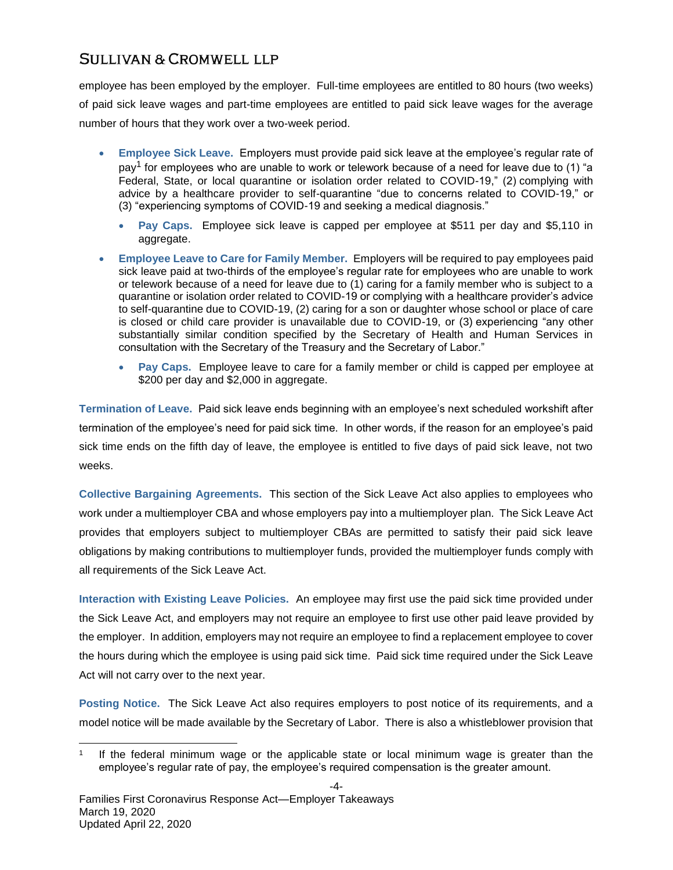employee has been employed by the employer. Full-time employees are entitled to 80 hours (two weeks) of paid sick leave wages and part-time employees are entitled to paid sick leave wages for the average number of hours that they work over a two-week period.

- **Employee Sick Leave.** Employers must provide paid sick leave at the employee's regular rate of pay<sup>1</sup> for employees who are unable to work or telework because of a need for leave due to (1) "a Federal, State, or local quarantine or isolation order related to COVID-19," (2) complying with advice by a healthcare provider to self-quarantine "due to concerns related to COVID-19," or (3) "experiencing symptoms of COVID-19 and seeking a medical diagnosis."
	- **Pay Caps.** Employee sick leave is capped per employee at \$511 per day and \$5,110 in aggregate.
- **Employee Leave to Care for Family Member.** Employers will be required to pay employees paid sick leave paid at two-thirds of the employee's regular rate for employees who are unable to work or telework because of a need for leave due to (1) caring for a family member who is subject to a quarantine or isolation order related to COVID-19 or complying with a healthcare provider's advice to self-quarantine due to COVID-19, (2) caring for a son or daughter whose school or place of care is closed or child care provider is unavailable due to COVID-19, or (3) experiencing "any other substantially similar condition specified by the Secretary of Health and Human Services in consultation with the Secretary of the Treasury and the Secretary of Labor."
	- **Pay Caps.** Employee leave to care for a family member or child is capped per employee at \$200 per day and \$2,000 in aggregate.

**Termination of Leave.** Paid sick leave ends beginning with an employee's next scheduled workshift after termination of the employee's need for paid sick time. In other words, if the reason for an employee's paid sick time ends on the fifth day of leave, the employee is entitled to five days of paid sick leave, not two weeks.

**Collective Bargaining Agreements.** This section of the Sick Leave Act also applies to employees who work under a multiemployer CBA and whose employers pay into a multiemployer plan. The Sick Leave Act provides that employers subject to multiemployer CBAs are permitted to satisfy their paid sick leave obligations by making contributions to multiemployer funds, provided the multiemployer funds comply with all requirements of the Sick Leave Act.

**Interaction with Existing Leave Policies.** An employee may first use the paid sick time provided under the Sick Leave Act, and employers may not require an employee to first use other paid leave provided by the employer. In addition, employers may not require an employee to find a replacement employee to cover the hours during which the employee is using paid sick time. Paid sick time required under the Sick Leave Act will not carry over to the next year.

**Posting Notice.** The Sick Leave Act also requires employers to post notice of its requirements, and a model notice will be made available by the Secretary of Labor. There is also a whistleblower provision that

l

<sup>1</sup> If the federal minimum wage or the applicable state or local minimum wage is greater than the employee's regular rate of pay, the employee's required compensation is the greater amount.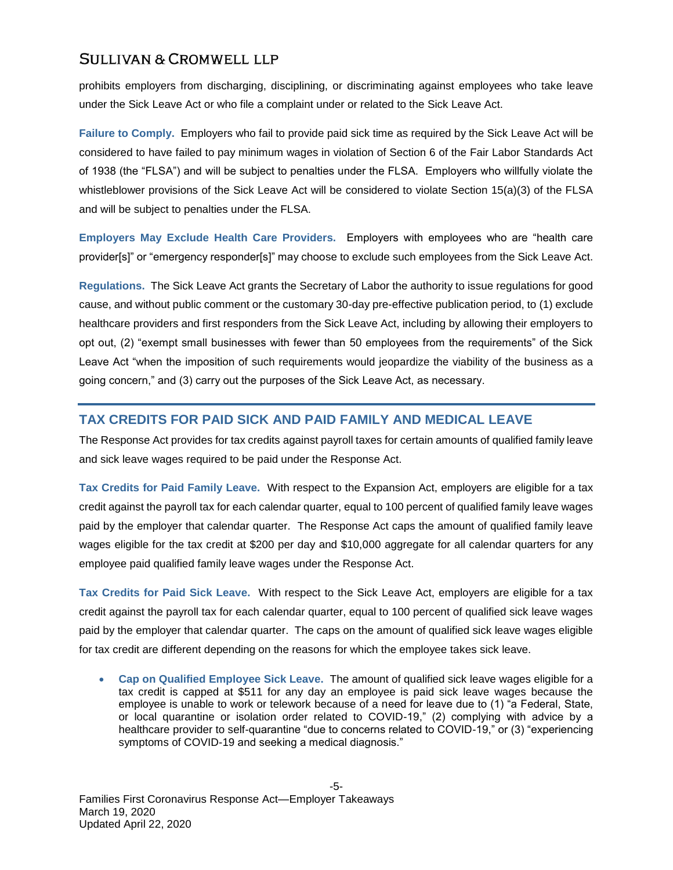prohibits employers from discharging, disciplining, or discriminating against employees who take leave under the Sick Leave Act or who file a complaint under or related to the Sick Leave Act.

**Failure to Comply.** Employers who fail to provide paid sick time as required by the Sick Leave Act will be considered to have failed to pay minimum wages in violation of Section 6 of the Fair Labor Standards Act of 1938 (the "FLSA") and will be subject to penalties under the FLSA. Employers who willfully violate the whistleblower provisions of the Sick Leave Act will be considered to violate Section 15(a)(3) of the FLSA and will be subject to penalties under the FLSA.

**Employers May Exclude Health Care Providers.** Employers with employees who are "health care provider[s]" or "emergency responder[s]" may choose to exclude such employees from the Sick Leave Act.

**Regulations.** The Sick Leave Act grants the Secretary of Labor the authority to issue regulations for good cause, and without public comment or the customary 30-day pre-effective publication period, to (1) exclude healthcare providers and first responders from the Sick Leave Act, including by allowing their employers to opt out, (2) "exempt small businesses with fewer than 50 employees from the requirements" of the Sick Leave Act "when the imposition of such requirements would jeopardize the viability of the business as a going concern," and (3) carry out the purposes of the Sick Leave Act, as necessary.

## **TAX CREDITS FOR PAID SICK AND PAID FAMILY AND MEDICAL LEAVE**

The Response Act provides for tax credits against payroll taxes for certain amounts of qualified family leave and sick leave wages required to be paid under the Response Act.

**Tax Credits for Paid Family Leave.** With respect to the Expansion Act, employers are eligible for a tax credit against the payroll tax for each calendar quarter, equal to 100 percent of qualified family leave wages paid by the employer that calendar quarter. The Response Act caps the amount of qualified family leave wages eligible for the tax credit at \$200 per day and \$10,000 aggregate for all calendar quarters for any employee paid qualified family leave wages under the Response Act.

**Tax Credits for Paid Sick Leave.** With respect to the Sick Leave Act, employers are eligible for a tax credit against the payroll tax for each calendar quarter, equal to 100 percent of qualified sick leave wages paid by the employer that calendar quarter. The caps on the amount of qualified sick leave wages eligible for tax credit are different depending on the reasons for which the employee takes sick leave.

 **Cap on Qualified Employee Sick Leave.** The amount of qualified sick leave wages eligible for a tax credit is capped at \$511 for any day an employee is paid sick leave wages because the employee is unable to work or telework because of a need for leave due to (1) "a Federal, State, or local quarantine or isolation order related to COVID-19," (2) complying with advice by a healthcare provider to self-quarantine "due to concerns related to COVID-19," or (3) "experiencing symptoms of COVID-19 and seeking a medical diagnosis."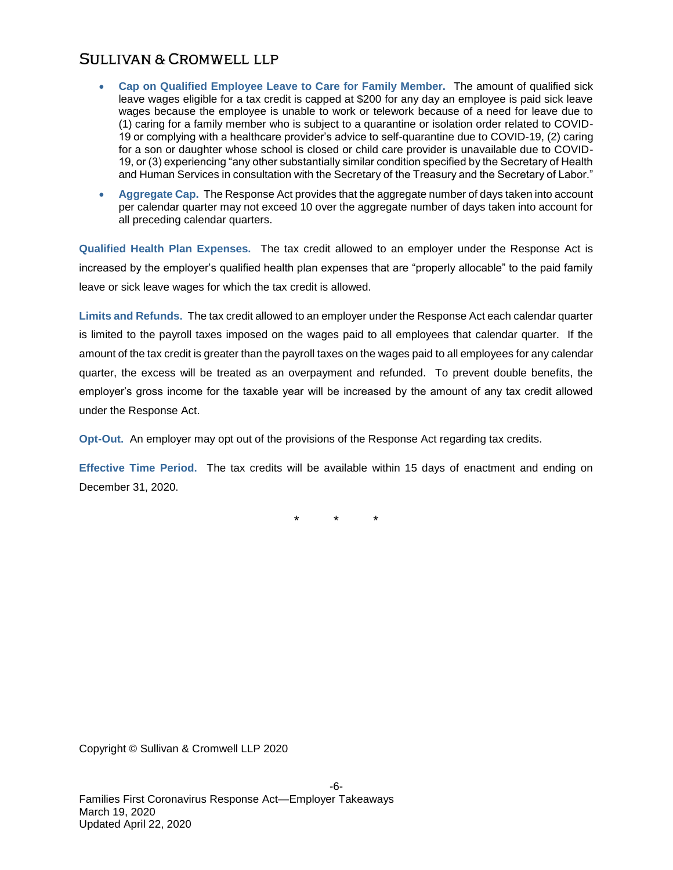- **Cap on Qualified Employee Leave to Care for Family Member.** The amount of qualified sick leave wages eligible for a tax credit is capped at \$200 for any day an employee is paid sick leave wages because the employee is unable to work or telework because of a need for leave due to (1) caring for a family member who is subject to a quarantine or isolation order related to COVID-19 or complying with a healthcare provider's advice to self-quarantine due to COVID-19, (2) caring for a son or daughter whose school is closed or child care provider is unavailable due to COVID-19, or (3) experiencing "any other substantially similar condition specified by the Secretary of Health and Human Services in consultation with the Secretary of the Treasury and the Secretary of Labor."
- **Aggregate Cap.** The Response Act provides that the aggregate number of days taken into account per calendar quarter may not exceed 10 over the aggregate number of days taken into account for all preceding calendar quarters.

**Qualified Health Plan Expenses.** The tax credit allowed to an employer under the Response Act is increased by the employer's qualified health plan expenses that are "properly allocable" to the paid family leave or sick leave wages for which the tax credit is allowed.

**Limits and Refunds.** The tax credit allowed to an employer under the Response Act each calendar quarter is limited to the payroll taxes imposed on the wages paid to all employees that calendar quarter. If the amount of the tax credit is greater than the payroll taxes on the wages paid to all employees for any calendar quarter, the excess will be treated as an overpayment and refunded. To prevent double benefits, the employer's gross income for the taxable year will be increased by the amount of any tax credit allowed under the Response Act.

**Opt-Out.** An employer may opt out of the provisions of the Response Act regarding tax credits.

**Effective Time Period.** The tax credits will be available within 15 days of enactment and ending on December 31, 2020.

\* \* \*

Copyright © Sullivan & Cromwell LLP 2020